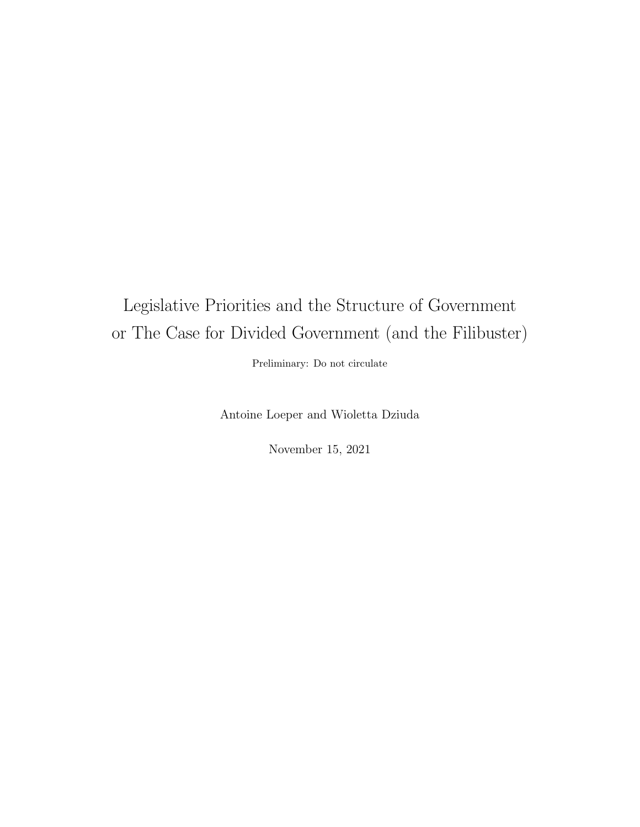# Legislative Priorities and the Structure of Government or The Case for Divided Government (and the Filibuster)

Preliminary: Do not circulate

Antoine Loeper and Wioletta Dziuda

November 15, 2021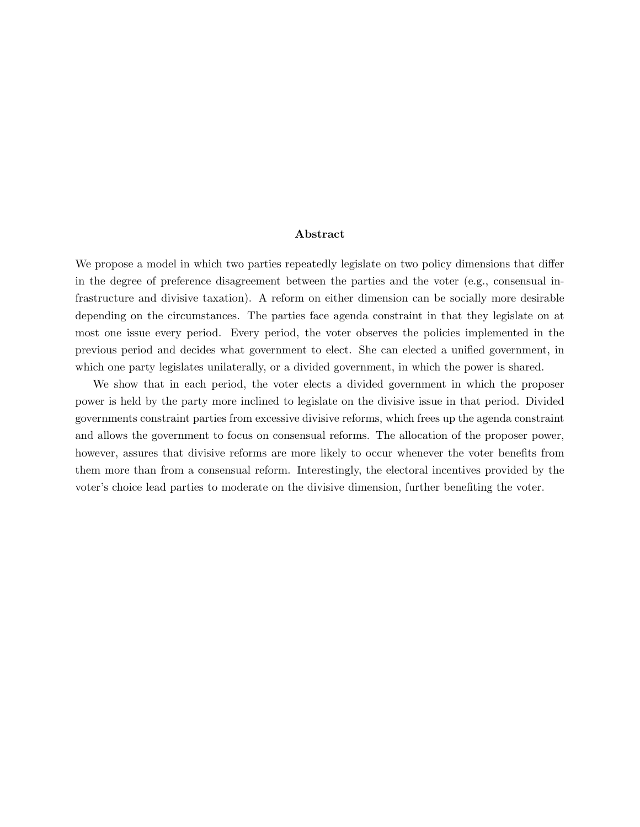#### Abstract

We propose a model in which two parties repeatedly legislate on two policy dimensions that differ in the degree of preference disagreement between the parties and the voter (e.g., consensual infrastructure and divisive taxation). A reform on either dimension can be socially more desirable depending on the circumstances. The parties face agenda constraint in that they legislate on at most one issue every period. Every period, the voter observes the policies implemented in the previous period and decides what government to elect. She can elected a unified government, in which one party legislates unilaterally, or a divided government, in which the power is shared.

We show that in each period, the voter elects a divided government in which the proposer power is held by the party more inclined to legislate on the divisive issue in that period. Divided governments constraint parties from excessive divisive reforms, which frees up the agenda constraint and allows the government to focus on consensual reforms. The allocation of the proposer power, however, assures that divisive reforms are more likely to occur whenever the voter benefits from them more than from a consensual reform. Interestingly, the electoral incentives provided by the voter's choice lead parties to moderate on the divisive dimension, further benefiting the voter.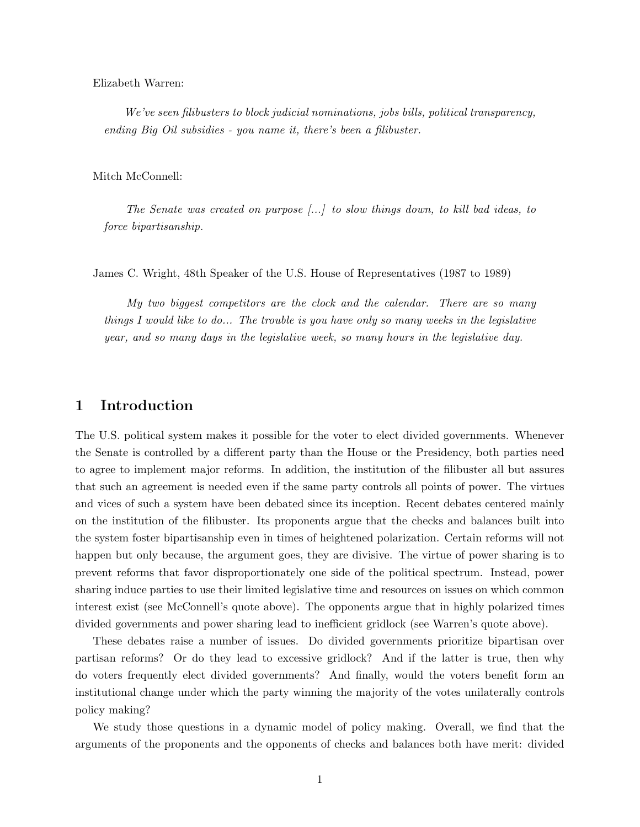Elizabeth Warren:

We've seen filibusters to block judicial nominations, jobs bills, political transparency, ending Big Oil subsidies - you name it, there's been a filibuster.

Mitch McConnell:

The Senate was created on purpose [...] to slow things down, to kill bad ideas, to force bipartisanship.

James C. Wright, 48th Speaker of the U.S. House of Representatives (1987 to 1989)

My two biggest competitors are the clock and the calendar. There are so many things I would like to do... The trouble is you have only so many weeks in the legislative year, and so many days in the legislative week, so many hours in the legislative day.

## 1 Introduction

The U.S. political system makes it possible for the voter to elect divided governments. Whenever the Senate is controlled by a different party than the House or the Presidency, both parties need to agree to implement major reforms. In addition, the institution of the filibuster all but assures that such an agreement is needed even if the same party controls all points of power. The virtues and vices of such a system have been debated since its inception. Recent debates centered mainly on the institution of the filibuster. Its proponents argue that the checks and balances built into the system foster bipartisanship even in times of heightened polarization. Certain reforms will not happen but only because, the argument goes, they are divisive. The virtue of power sharing is to prevent reforms that favor disproportionately one side of the political spectrum. Instead, power sharing induce parties to use their limited legislative time and resources on issues on which common interest exist (see McConnell's quote above). The opponents argue that in highly polarized times divided governments and power sharing lead to inefficient gridlock (see Warren's quote above).

These debates raise a number of issues. Do divided governments prioritize bipartisan over partisan reforms? Or do they lead to excessive gridlock? And if the latter is true, then why do voters frequently elect divided governments? And finally, would the voters benefit form an institutional change under which the party winning the majority of the votes unilaterally controls policy making?

We study those questions in a dynamic model of policy making. Overall, we find that the arguments of the proponents and the opponents of checks and balances both have merit: divided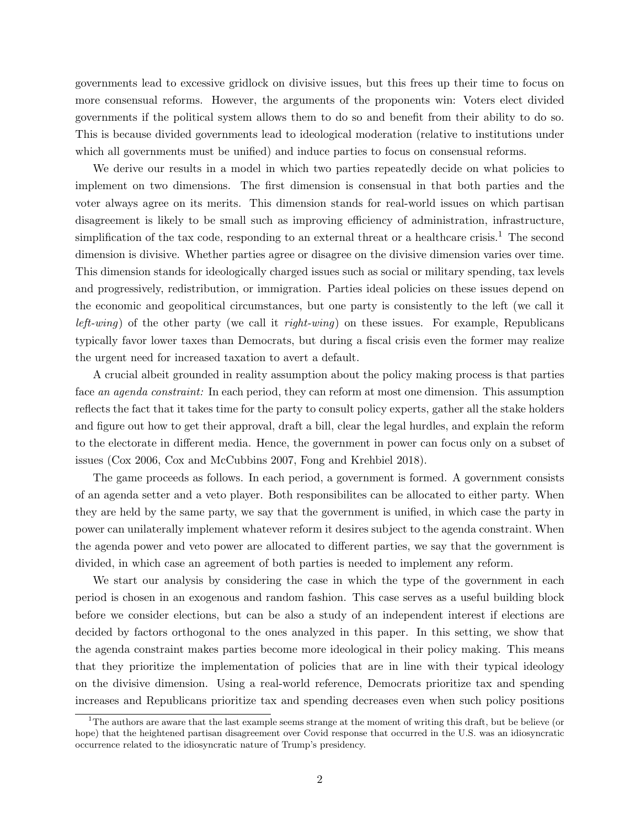governments lead to excessive gridlock on divisive issues, but this frees up their time to focus on more consensual reforms. However, the arguments of the proponents win: Voters elect divided governments if the political system allows them to do so and benefit from their ability to do so. This is because divided governments lead to ideological moderation (relative to institutions under which all governments must be unified) and induce parties to focus on consensual reforms.

We derive our results in a model in which two parties repeatedly decide on what policies to implement on two dimensions. The first dimension is consensual in that both parties and the voter always agree on its merits. This dimension stands for real-world issues on which partisan disagreement is likely to be small such as improving efficiency of administration, infrastructure, simplification of the tax code, responding to an external threat or a healthcare crisis.<sup>1</sup> The second dimension is divisive. Whether parties agree or disagree on the divisive dimension varies over time. This dimension stands for ideologically charged issues such as social or military spending, tax levels and progressively, redistribution, or immigration. Parties ideal policies on these issues depend on the economic and geopolitical circumstances, but one party is consistently to the left (we call it *left-wing*) of the other party (we call it *right-wing*) on these issues. For example, Republicans typically favor lower taxes than Democrats, but during a fiscal crisis even the former may realize the urgent need for increased taxation to avert a default.

A crucial albeit grounded in reality assumption about the policy making process is that parties face an agenda constraint: In each period, they can reform at most one dimension. This assumption reflects the fact that it takes time for the party to consult policy experts, gather all the stake holders and figure out how to get their approval, draft a bill, clear the legal hurdles, and explain the reform to the electorate in different media. Hence, the government in power can focus only on a subset of issues (Cox 2006, Cox and McCubbins 2007, Fong and Krehbiel 2018).

The game proceeds as follows. In each period, a government is formed. A government consists of an agenda setter and a veto player. Both responsibilites can be allocated to either party. When they are held by the same party, we say that the government is unified, in which case the party in power can unilaterally implement whatever reform it desires subject to the agenda constraint. When the agenda power and veto power are allocated to different parties, we say that the government is divided, in which case an agreement of both parties is needed to implement any reform.

We start our analysis by considering the case in which the type of the government in each period is chosen in an exogenous and random fashion. This case serves as a useful building block before we consider elections, but can be also a study of an independent interest if elections are decided by factors orthogonal to the ones analyzed in this paper. In this setting, we show that the agenda constraint makes parties become more ideological in their policy making. This means that they prioritize the implementation of policies that are in line with their typical ideology on the divisive dimension. Using a real-world reference, Democrats prioritize tax and spending increases and Republicans prioritize tax and spending decreases even when such policy positions

 $1$ The authors are aware that the last example seems strange at the moment of writing this draft, but be believe (or hope) that the heightened partisan disagreement over Covid response that occurred in the U.S. was an idiosyncratic occurrence related to the idiosyncratic nature of Trump's presidency.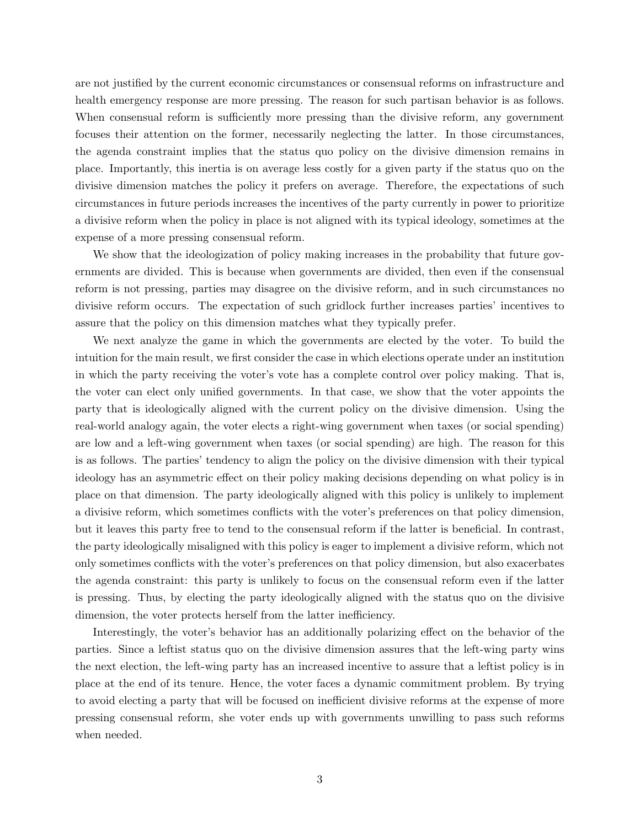are not justified by the current economic circumstances or consensual reforms on infrastructure and health emergency response are more pressing. The reason for such partisan behavior is as follows. When consensual reform is sufficiently more pressing than the divisive reform, any government focuses their attention on the former, necessarily neglecting the latter. In those circumstances, the agenda constraint implies that the status quo policy on the divisive dimension remains in place. Importantly, this inertia is on average less costly for a given party if the status quo on the divisive dimension matches the policy it prefers on average. Therefore, the expectations of such circumstances in future periods increases the incentives of the party currently in power to prioritize a divisive reform when the policy in place is not aligned with its typical ideology, sometimes at the expense of a more pressing consensual reform.

We show that the ideologization of policy making increases in the probability that future governments are divided. This is because when governments are divided, then even if the consensual reform is not pressing, parties may disagree on the divisive reform, and in such circumstances no divisive reform occurs. The expectation of such gridlock further increases parties' incentives to assure that the policy on this dimension matches what they typically prefer.

We next analyze the game in which the governments are elected by the voter. To build the intuition for the main result, we first consider the case in which elections operate under an institution in which the party receiving the voter's vote has a complete control over policy making. That is, the voter can elect only unified governments. In that case, we show that the voter appoints the party that is ideologically aligned with the current policy on the divisive dimension. Using the real-world analogy again, the voter elects a right-wing government when taxes (or social spending) are low and a left-wing government when taxes (or social spending) are high. The reason for this is as follows. The parties' tendency to align the policy on the divisive dimension with their typical ideology has an asymmetric effect on their policy making decisions depending on what policy is in place on that dimension. The party ideologically aligned with this policy is unlikely to implement a divisive reform, which sometimes conflicts with the voter's preferences on that policy dimension, but it leaves this party free to tend to the consensual reform if the latter is beneficial. In contrast, the party ideologically misaligned with this policy is eager to implement a divisive reform, which not only sometimes conflicts with the voter's preferences on that policy dimension, but also exacerbates the agenda constraint: this party is unlikely to focus on the consensual reform even if the latter is pressing. Thus, by electing the party ideologically aligned with the status quo on the divisive dimension, the voter protects herself from the latter inefficiency.

Interestingly, the voter's behavior has an additionally polarizing effect on the behavior of the parties. Since a leftist status quo on the divisive dimension assures that the left-wing party wins the next election, the left-wing party has an increased incentive to assure that a leftist policy is in place at the end of its tenure. Hence, the voter faces a dynamic commitment problem. By trying to avoid electing a party that will be focused on inefficient divisive reforms at the expense of more pressing consensual reform, she voter ends up with governments unwilling to pass such reforms when needed.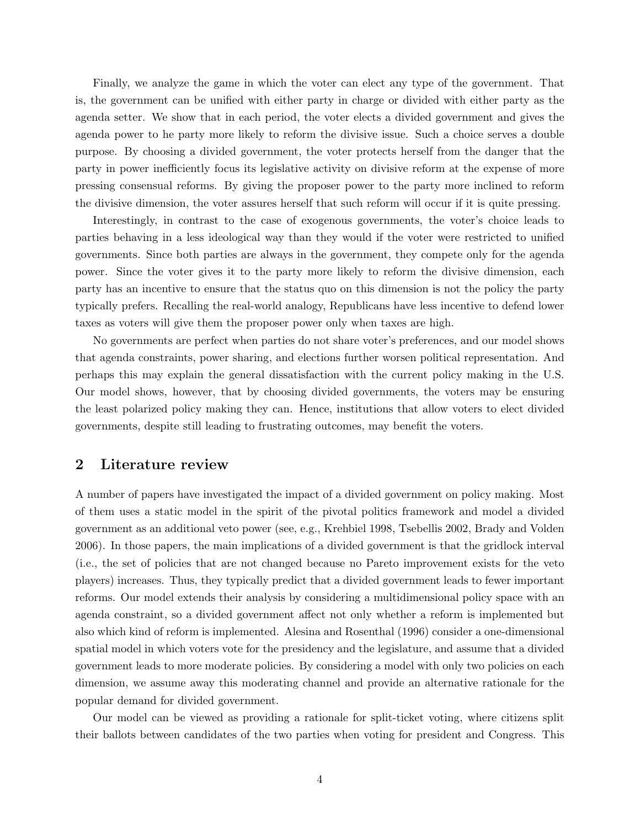Finally, we analyze the game in which the voter can elect any type of the government. That is, the government can be unified with either party in charge or divided with either party as the agenda setter. We show that in each period, the voter elects a divided government and gives the agenda power to he party more likely to reform the divisive issue. Such a choice serves a double purpose. By choosing a divided government, the voter protects herself from the danger that the party in power inefficiently focus its legislative activity on divisive reform at the expense of more pressing consensual reforms. By giving the proposer power to the party more inclined to reform the divisive dimension, the voter assures herself that such reform will occur if it is quite pressing.

Interestingly, in contrast to the case of exogenous governments, the voter's choice leads to parties behaving in a less ideological way than they would if the voter were restricted to unified governments. Since both parties are always in the government, they compete only for the agenda power. Since the voter gives it to the party more likely to reform the divisive dimension, each party has an incentive to ensure that the status quo on this dimension is not the policy the party typically prefers. Recalling the real-world analogy, Republicans have less incentive to defend lower taxes as voters will give them the proposer power only when taxes are high.

No governments are perfect when parties do not share voter's preferences, and our model shows that agenda constraints, power sharing, and elections further worsen political representation. And perhaps this may explain the general dissatisfaction with the current policy making in the U.S. Our model shows, however, that by choosing divided governments, the voters may be ensuring the least polarized policy making they can. Hence, institutions that allow voters to elect divided governments, despite still leading to frustrating outcomes, may benefit the voters.

## 2 Literature review

A number of papers have investigated the impact of a divided government on policy making. Most of them uses a static model in the spirit of the pivotal politics framework and model a divided government as an additional veto power (see, e.g., Krehbiel 1998, Tsebellis 2002, Brady and Volden 2006). In those papers, the main implications of a divided government is that the gridlock interval (i.e., the set of policies that are not changed because no Pareto improvement exists for the veto players) increases. Thus, they typically predict that a divided government leads to fewer important reforms. Our model extends their analysis by considering a multidimensional policy space with an agenda constraint, so a divided government affect not only whether a reform is implemented but also which kind of reform is implemented. Alesina and Rosenthal (1996) consider a one-dimensional spatial model in which voters vote for the presidency and the legislature, and assume that a divided government leads to more moderate policies. By considering a model with only two policies on each dimension, we assume away this moderating channel and provide an alternative rationale for the popular demand for divided government.

Our model can be viewed as providing a rationale for split-ticket voting, where citizens split their ballots between candidates of the two parties when voting for president and Congress. This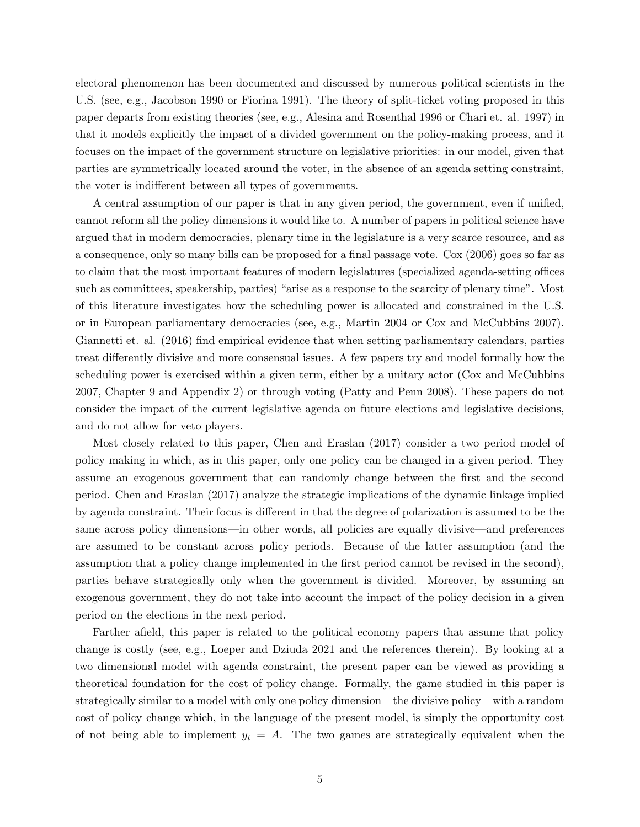electoral phenomenon has been documented and discussed by numerous political scientists in the U.S. (see, e.g., Jacobson 1990 or Fiorina 1991). The theory of split-ticket voting proposed in this paper departs from existing theories (see, e.g., Alesina and Rosenthal 1996 or Chari et. al. 1997) in that it models explicitly the impact of a divided government on the policy-making process, and it focuses on the impact of the government structure on legislative priorities: in our model, given that parties are symmetrically located around the voter, in the absence of an agenda setting constraint, the voter is indifferent between all types of governments.

A central assumption of our paper is that in any given period, the government, even if unified, cannot reform all the policy dimensions it would like to. A number of papers in political science have argued that in modern democracies, plenary time in the legislature is a very scarce resource, and as a consequence, only so many bills can be proposed for a final passage vote. Cox (2006) goes so far as to claim that the most important features of modern legislatures (specialized agenda-setting offices such as committees, speakership, parties) "arise as a response to the scarcity of plenary time". Most of this literature investigates how the scheduling power is allocated and constrained in the U.S. or in European parliamentary democracies (see, e.g., Martin 2004 or Cox and McCubbins 2007). Giannetti et. al. (2016) find empirical evidence that when setting parliamentary calendars, parties treat differently divisive and more consensual issues. A few papers try and model formally how the scheduling power is exercised within a given term, either by a unitary actor (Cox and McCubbins 2007, Chapter 9 and Appendix 2) or through voting (Patty and Penn 2008). These papers do not consider the impact of the current legislative agenda on future elections and legislative decisions, and do not allow for veto players.

Most closely related to this paper, Chen and Eraslan (2017) consider a two period model of policy making in which, as in this paper, only one policy can be changed in a given period. They assume an exogenous government that can randomly change between the first and the second period. Chen and Eraslan (2017) analyze the strategic implications of the dynamic linkage implied by agenda constraint. Their focus is different in that the degree of polarization is assumed to be the same across policy dimensions—in other words, all policies are equally divisive—and preferences are assumed to be constant across policy periods. Because of the latter assumption (and the assumption that a policy change implemented in the first period cannot be revised in the second), parties behave strategically only when the government is divided. Moreover, by assuming an exogenous government, they do not take into account the impact of the policy decision in a given period on the elections in the next period.

Farther afield, this paper is related to the political economy papers that assume that policy change is costly (see, e.g., Loeper and Dziuda 2021 and the references therein). By looking at a two dimensional model with agenda constraint, the present paper can be viewed as providing a theoretical foundation for the cost of policy change. Formally, the game studied in this paper is strategically similar to a model with only one policy dimension—the divisive policy—with a random cost of policy change which, in the language of the present model, is simply the opportunity cost of not being able to implement  $y_t = A$ . The two games are strategically equivalent when the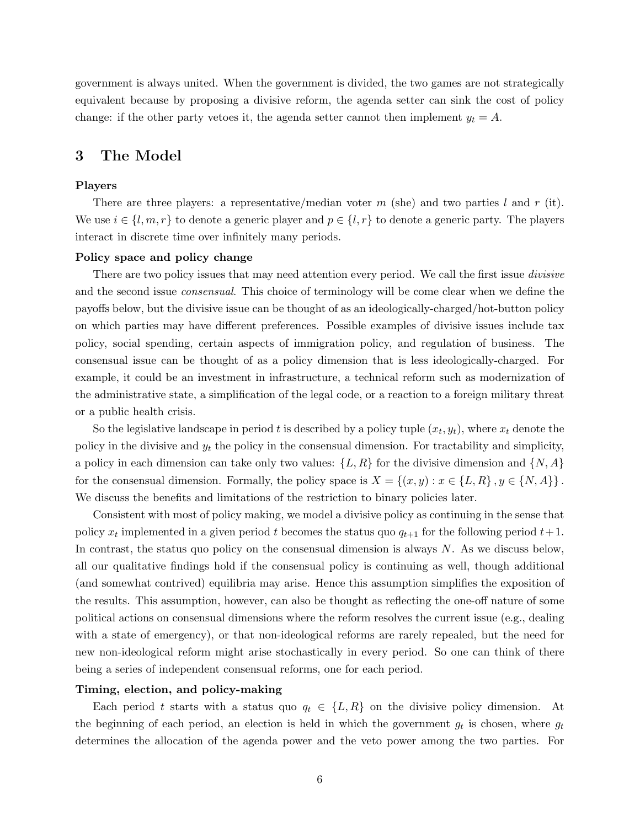government is always united. When the government is divided, the two games are not strategically equivalent because by proposing a divisive reform, the agenda setter can sink the cost of policy change: if the other party vetoes it, the agenda setter cannot then implement  $y_t = A$ .

# 3 The Model

#### Players

There are three players: a representative/median voter m (she) and two parties l and r (it). We use  $i \in \{l, m, r\}$  to denote a generic player and  $p \in \{l, r\}$  to denote a generic party. The players interact in discrete time over infinitely many periods.

#### Policy space and policy change

There are two policy issues that may need attention every period. We call the first issue *divisive* and the second issue consensual. This choice of terminology will be come clear when we define the payoffs below, but the divisive issue can be thought of as an ideologically-charged/hot-button policy on which parties may have different preferences. Possible examples of divisive issues include tax policy, social spending, certain aspects of immigration policy, and regulation of business. The consensual issue can be thought of as a policy dimension that is less ideologically-charged. For example, it could be an investment in infrastructure, a technical reform such as modernization of the administrative state, a simplification of the legal code, or a reaction to a foreign military threat or a public health crisis.

So the legislative landscape in period t is described by a policy tuple  $(x_t, y_t)$ , where  $x_t$  denote the policy in the divisive and  $y_t$  the policy in the consensual dimension. For tractability and simplicity, a policy in each dimension can take only two values:  $\{L, R\}$  for the divisive dimension and  $\{N, A\}$ for the consensual dimension. Formally, the policy space is  $X = \{(x, y) : x \in \{L, R\}, y \in \{N, A\}\}\.$ We discuss the benefits and limitations of the restriction to binary policies later.

Consistent with most of policy making, we model a divisive policy as continuing in the sense that policy  $x_t$  implemented in a given period t becomes the status quo  $q_{t+1}$  for the following period  $t+1$ . In contrast, the status quo policy on the consensual dimension is always  $N$ . As we discuss below, all our qualitative findings hold if the consensual policy is continuing as well, though additional (and somewhat contrived) equilibria may arise. Hence this assumption simplifies the exposition of the results. This assumption, however, can also be thought as reflecting the one-off nature of some political actions on consensual dimensions where the reform resolves the current issue (e.g., dealing with a state of emergency), or that non-ideological reforms are rarely repealed, but the need for new non-ideological reform might arise stochastically in every period. So one can think of there being a series of independent consensual reforms, one for each period.

#### Timing, election, and policy-making

Each period t starts with a status quo  $q_t \in \{L, R\}$  on the divisive policy dimension. At the beginning of each period, an election is held in which the government  $g_t$  is chosen, where  $g_t$ determines the allocation of the agenda power and the veto power among the two parties. For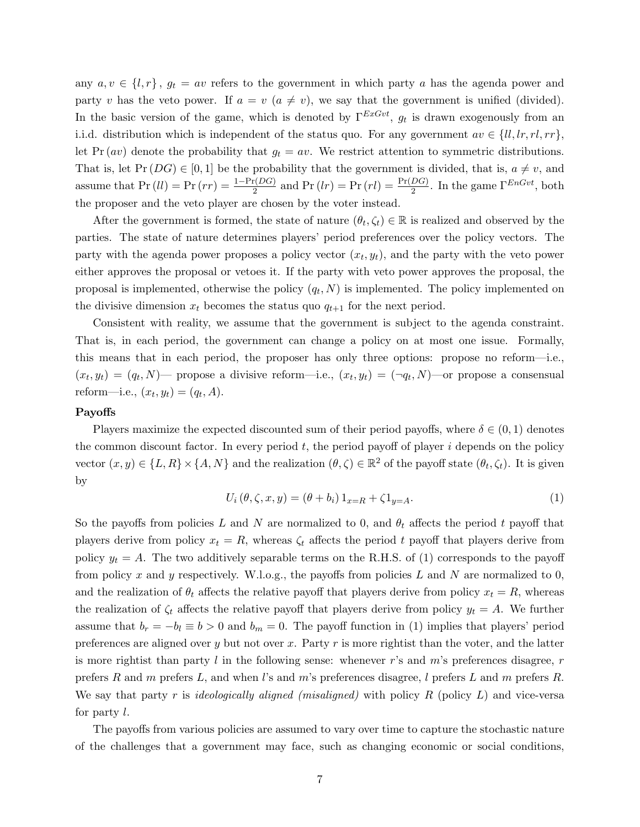any  $a, v \in \{l, r\}, g_t = av$  refers to the government in which party a has the agenda power and party v has the veto power. If  $a = v$   $(a \neq v)$ , we say that the government is unified (divided). In the basic version of the game, which is denoted by  $\Gamma^{ExGvt}$ ,  $g_t$  is drawn exogenously from an i.i.d. distribution which is independent of the status quo. For any government  $av \in \{ll, lr, rl, rr\}$ , let Pr  $(av)$  denote the probability that  $g_t = av$ . We restrict attention to symmetric distributions. That is, let  $Pr(DG) \in [0,1]$  be the probability that the government is divided, that is,  $a \neq v$ , and assume that  $Pr (ll) = Pr (rr) = \frac{1 - Pr(DG)}{2}$  and  $Pr (lr) = Pr (rl) = \frac{Pr(DG)}{2}$ . In the game  $\Gamma^{EnGvt}$ , both the proposer and the veto player are chosen by the voter instead.

After the government is formed, the state of nature  $(\theta_t, \zeta_t) \in \mathbb{R}$  is realized and observed by the parties. The state of nature determines players' period preferences over the policy vectors. The party with the agenda power proposes a policy vector  $(x_t, y_t)$ , and the party with the veto power either approves the proposal or vetoes it. If the party with veto power approves the proposal, the proposal is implemented, otherwise the policy  $(q_t, N)$  is implemented. The policy implemented on the divisive dimension  $x_t$  becomes the status quo  $q_{t+1}$  for the next period.

Consistent with reality, we assume that the government is subject to the agenda constraint. That is, in each period, the government can change a policy on at most one issue. Formally, this means that in each period, the proposer has only three options: propose no reform—i.e.,  $(x_t, y_t) = (q_t, N)$  propose a divisive reform-i.e.,  $(x_t, y_t) = (\neg q_t, N)$  or propose a consensual reform—i.e.,  $(x_t, y_t) = (q_t, A)$ .

#### Payoffs

Players maximize the expected discounted sum of their period payoffs, where  $\delta \in (0,1)$  denotes the common discount factor. In every period  $t$ , the period payoff of player  $i$  depends on the policy vector  $(x, y) \in \{L, R\} \times \{A, N\}$  and the realization  $(\theta, \zeta) \in \mathbb{R}^2$  of the payoff state  $(\theta_t, \zeta_t)$ . It is given by

$$
U_i(\theta, \zeta, x, y) = (\theta + b_i) 1_{x=R} + \zeta 1_{y=A}.
$$
\n(1)

So the payoffs from policies L and N are normalized to 0, and  $\theta_t$  affects the period t payoff that players derive from policy  $x_t = R$ , whereas  $\zeta_t$  affects the period t payoff that players derive from policy  $y_t = A$ . The two additively separable terms on the R.H.S. of (1) corresponds to the payoff from policy x and y respectively. W.l.o.g., the payoffs from policies L and N are normalized to 0, and the realization of  $\theta_t$  affects the relative payoff that players derive from policy  $x_t = R$ , whereas the realization of  $\zeta_t$  affects the relative payoff that players derive from policy  $y_t = A$ . We further assume that  $b_r = -b_l \equiv b > 0$  and  $b_m = 0$ . The payoff function in (1) implies that players' period preferences are aligned over y but not over x. Party r is more rightist than the voter, and the latter is more rightist than party  $l$  in the following sense: whenever r's and m's preferences disagree, r prefers R and m prefers L, and when l's and m's preferences disagree, l prefers L and m prefers R. We say that party  $r$  is *ideologically aligned (misaligned)* with policy  $R$  (policy  $L$ ) and vice-versa for party l.

The payoffs from various policies are assumed to vary over time to capture the stochastic nature of the challenges that a government may face, such as changing economic or social conditions,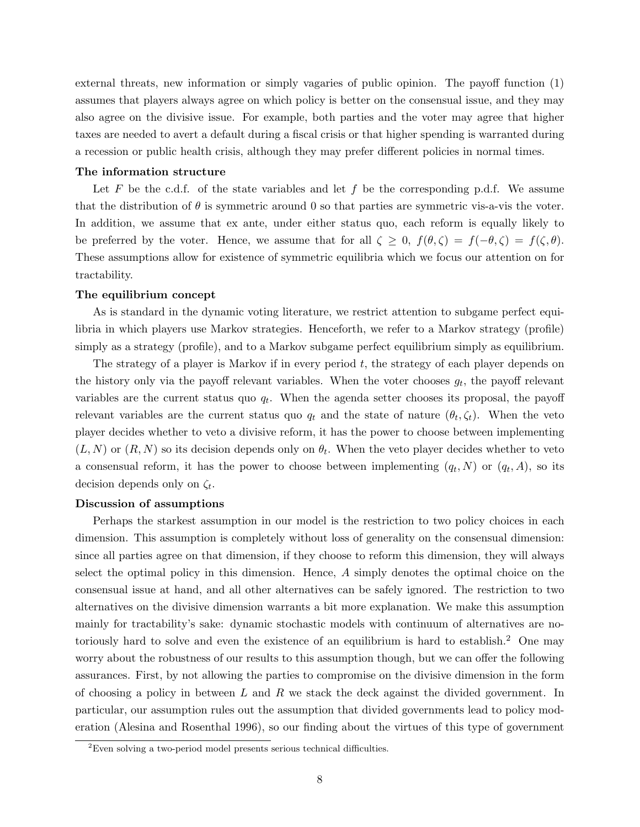external threats, new information or simply vagaries of public opinion. The payoff function (1) assumes that players always agree on which policy is better on the consensual issue, and they may also agree on the divisive issue. For example, both parties and the voter may agree that higher taxes are needed to avert a default during a fiscal crisis or that higher spending is warranted during a recession or public health crisis, although they may prefer different policies in normal times.

#### The information structure

Let F be the c.d.f. of the state variables and let f be the corresponding p.d.f. We assume that the distribution of  $\theta$  is symmetric around 0 so that parties are symmetric vis-a-vis the voter. In addition, we assume that ex ante, under either status quo, each reform is equally likely to be preferred by the voter. Hence, we assume that for all  $\zeta \geq 0$ ,  $f(\theta, \zeta) = f(-\theta, \zeta) = f(\zeta, \theta)$ . These assumptions allow for existence of symmetric equilibria which we focus our attention on for tractability.

#### The equilibrium concept

As is standard in the dynamic voting literature, we restrict attention to subgame perfect equilibria in which players use Markov strategies. Henceforth, we refer to a Markov strategy (profile) simply as a strategy (profile), and to a Markov subgame perfect equilibrium simply as equilibrium.

The strategy of a player is Markov if in every period t, the strategy of each player depends on the history only via the payoff relevant variables. When the voter chooses  $g_t$ , the payoff relevant variables are the current status quo  $q_t$ . When the agenda setter chooses its proposal, the payoff relevant variables are the current status quo  $q_t$  and the state of nature  $(\theta_t, \zeta_t)$ . When the veto player decides whether to veto a divisive reform, it has the power to choose between implementing  $(L, N)$  or  $(R, N)$  so its decision depends only on  $\theta_t$ . When the veto player decides whether to veto a consensual reform, it has the power to choose between implementing  $(q_t, N)$  or  $(q_t, A)$ , so its decision depends only on  $\zeta_t$ .

#### Discussion of assumptions

Perhaps the starkest assumption in our model is the restriction to two policy choices in each dimension. This assumption is completely without loss of generality on the consensual dimension: since all parties agree on that dimension, if they choose to reform this dimension, they will always select the optimal policy in this dimension. Hence, A simply denotes the optimal choice on the consensual issue at hand, and all other alternatives can be safely ignored. The restriction to two alternatives on the divisive dimension warrants a bit more explanation. We make this assumption mainly for tractability's sake: dynamic stochastic models with continuum of alternatives are notoriously hard to solve and even the existence of an equilibrium is hard to establish.<sup>2</sup> One may worry about the robustness of our results to this assumption though, but we can offer the following assurances. First, by not allowing the parties to compromise on the divisive dimension in the form of choosing a policy in between  $L$  and  $R$  we stack the deck against the divided government. In particular, our assumption rules out the assumption that divided governments lead to policy moderation (Alesina and Rosenthal 1996), so our finding about the virtues of this type of government

 ${}^{2}$ Even solving a two-period model presents serious technical difficulties.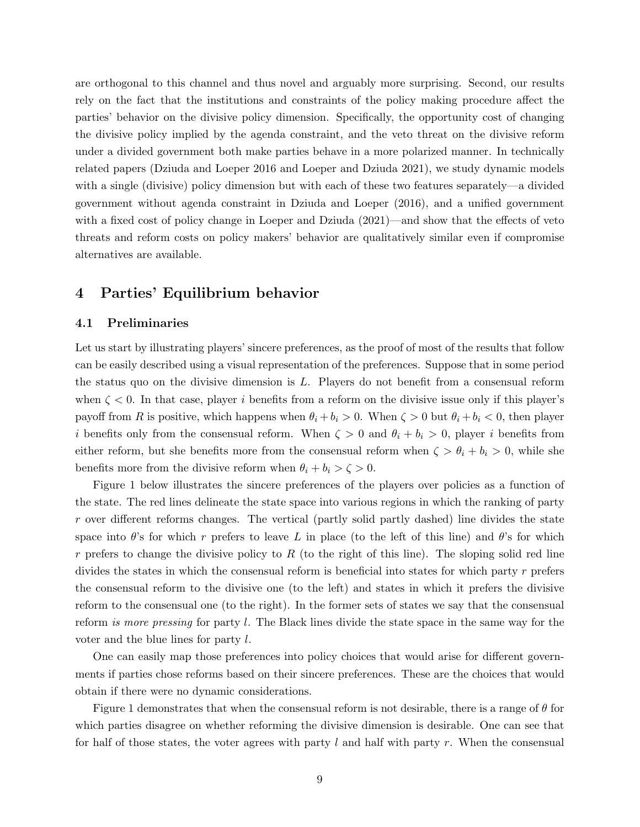are orthogonal to this channel and thus novel and arguably more surprising. Second, our results rely on the fact that the institutions and constraints of the policy making procedure affect the parties' behavior on the divisive policy dimension. Specifically, the opportunity cost of changing the divisive policy implied by the agenda constraint, and the veto threat on the divisive reform under a divided government both make parties behave in a more polarized manner. In technically related papers (Dziuda and Loeper 2016 and Loeper and Dziuda 2021), we study dynamic models with a single (divisive) policy dimension but with each of these two features separately—a divided government without agenda constraint in Dziuda and Loeper (2016), and a unified government with a fixed cost of policy change in Loeper and Dziuda (2021)—and show that the effects of veto threats and reform costs on policy makers' behavior are qualitatively similar even if compromise alternatives are available.

## 4 Parties' Equilibrium behavior

#### 4.1 Preliminaries

Let us start by illustrating players' sincere preferences, as the proof of most of the results that follow can be easily described using a visual representation of the preferences. Suppose that in some period the status quo on the divisive dimension is L. Players do not benefit from a consensual reform when  $\zeta$  < 0. In that case, player i benefits from a reform on the divisive issue only if this player's payoff from R is positive, which happens when  $\theta_i + b_i > 0$ . When  $\zeta > 0$  but  $\theta_i + b_i < 0$ , then player i benefits only from the consensual reform. When  $\zeta > 0$  and  $\theta_i + b_i > 0$ , player i benefits from either reform, but she benefits more from the consensual reform when  $\zeta > \theta_i + b_i > 0$ , while she benefits more from the divisive reform when  $\theta_i + b_i > \zeta > 0$ .

Figure 1 below illustrates the sincere preferences of the players over policies as a function of the state. The red lines delineate the state space into various regions in which the ranking of party r over different reforms changes. The vertical (partly solid partly dashed) line divides the state space into  $\theta$ 's for which r prefers to leave L in place (to the left of this line) and  $\theta$ 's for which r prefers to change the divisive policy to R (to the right of this line). The sloping solid red line divides the states in which the consensual reform is beneficial into states for which party  $r$  prefers the consensual reform to the divisive one (to the left) and states in which it prefers the divisive reform to the consensual one (to the right). In the former sets of states we say that the consensual reform is more pressing for party l. The Black lines divide the state space in the same way for the voter and the blue lines for party l.

One can easily map those preferences into policy choices that would arise for different governments if parties chose reforms based on their sincere preferences. These are the choices that would obtain if there were no dynamic considerations.

Figure 1 demonstrates that when the consensual reform is not desirable, there is a range of  $\theta$  for which parties disagree on whether reforming the divisive dimension is desirable. One can see that for half of those states, the voter agrees with party l and half with party r. When the consensual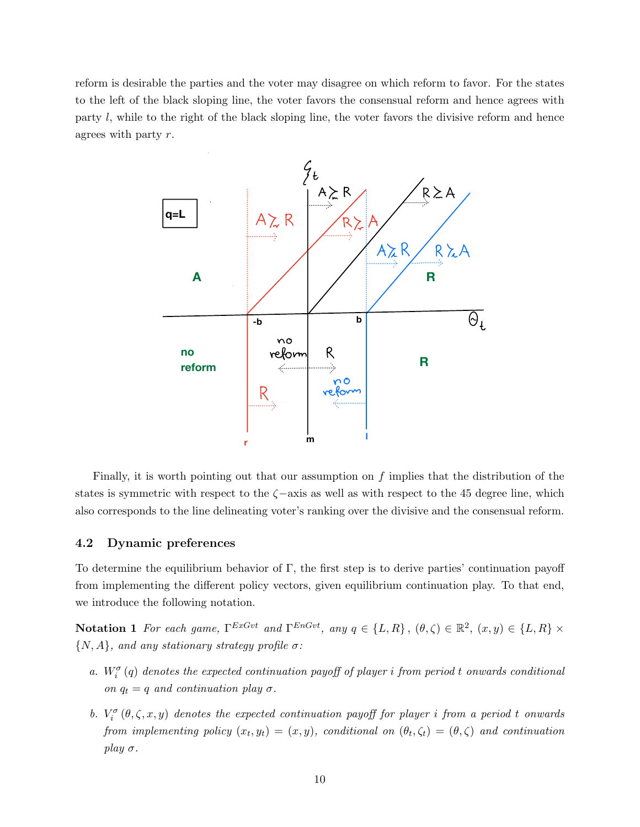reform is desirable the parties and the voter may disagree on which reform to favor. For the states to the left of the black sloping line, the voter favors the consensual reform and hence agrees with party l, while to the right of the black sloping line, the voter favors the divisive reform and hence agrees with party r.



Finally, it is worth pointing out that our assumption on f implies that the distribution of the states is symmetric with respect to the  $\zeta$ -axis as well as with respect to the 45 degree line, which also corresponds to the line delineating voter's ranking over the divisive and the consensual reform.

#### 4.2 Dynamic preferences

To determine the equilibrium behavior of  $\Gamma$ , the first step is to derive parties' continuation payoff from implementing the different policy vectors, given equilibrium continuation play. To that end, we introduce the following notation.

**Notation 1** For each game,  $\Gamma^{ExGvt}$  and  $\Gamma^{EnGvt}$ , any  $q \in \{L, R\}$ ,  $(\theta, \zeta) \in \mathbb{R}^2$ ,  $(x, y) \in \{L, R\} \times$  $\{N,A\},$  and any stationary strategy profile  $\sigma\colon$ 

- a.  $W_i^{\sigma}(q)$  denotes the expected continuation payoff of player i from period t onwards conditional on  $q_t = q$  and continuation play  $\sigma$ .
- b.  $V_i^{\sigma}(\theta, \zeta, x, y)$  denotes the expected continuation payoff for player i from a period t onwards from implementing policy  $(x_t, y_t) = (x, y)$ , conditional on  $(\theta_t, \zeta_t) = (\theta, \zeta)$  and continuation play  $\sigma$ .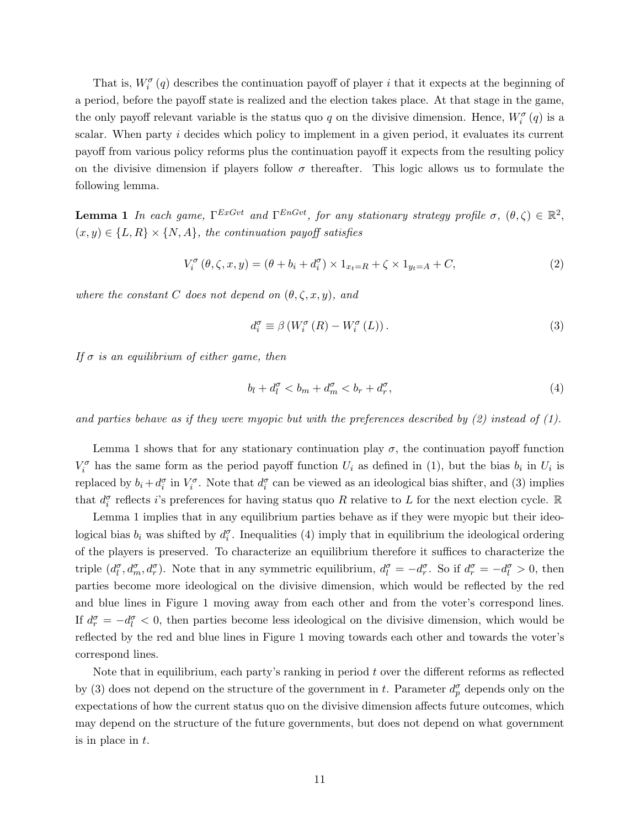That is,  $W_i^{\sigma}(q)$  describes the continuation payoff of player i that it expects at the beginning of a period, before the payoff state is realized and the election takes place. At that stage in the game, the only payoff relevant variable is the status quo q on the divisive dimension. Hence,  $W_i^{\sigma}(q)$  is a scalar. When party *i* decides which policy to implement in a given period, it evaluates its current payoff from various policy reforms plus the continuation payoff it expects from the resulting policy on the divisive dimension if players follow  $\sigma$  thereafter. This logic allows us to formulate the following lemma.

**Lemma 1** In each game,  $\Gamma^{ExGvt}$  and  $\Gamma^{EnGvt}$ , for any stationary strategy profile  $\sigma$ ,  $(\theta,\zeta) \in \mathbb{R}^2$ ,  $(x, y) \in \{L, R\} \times \{N, A\}$ , the continuation payoff satisfies

$$
V_i^{\sigma}(\theta, \zeta, x, y) = (\theta + b_i + d_i^{\sigma}) \times 1_{x_t = R} + \zeta \times 1_{y_t = A} + C,
$$
\n(2)

where the constant C does not depend on  $(\theta, \zeta, x, y)$ , and

$$
d_i^{\sigma} \equiv \beta \left( W_i^{\sigma} \left( R \right) - W_i^{\sigma} \left( L \right) \right). \tag{3}
$$

If  $\sigma$  is an equilibrium of either game, then

$$
b_l + d_l^{\sigma} < b_m + d_m^{\sigma} < b_r + d_r^{\sigma}, \tag{4}
$$

and parties behave as if they were myopic but with the preferences described by  $(2)$  instead of  $(1)$ .

Lemma 1 shows that for any stationary continuation play  $\sigma$ , the continuation payoff function  $V_i^{\sigma}$  has the same form as the period payoff function  $U_i$  as defined in (1), but the bias  $b_i$  in  $U_i$  is replaced by  $b_i + d_i^{\sigma}$  in  $V_i^{\sigma}$ . Note that  $d_i^{\sigma}$  can be viewed as an ideological bias shifter, and (3) implies that  $d_i^{\sigma}$  reflects *i*'s preferences for having status quo R relative to L for the next election cycle. R

Lemma 1 implies that in any equilibrium parties behave as if they were myopic but their ideological bias  $b_i$  was shifted by  $d_i^{\sigma}$ . Inequalities (4) imply that in equilibrium the ideological ordering of the players is preserved. To characterize an equilibrium therefore it suffices to characterize the triple  $(d_l^{\sigma}, d_m^{\sigma}, d_r^{\sigma})$ . Note that in any symmetric equilibrium,  $d_l^{\sigma} = -d_r^{\sigma}$ . So if  $d_r^{\sigma} = -d_l^{\sigma} > 0$ , then parties become more ideological on the divisive dimension, which would be reflected by the red and blue lines in Figure 1 moving away from each other and from the voter's correspond lines. If  $d_r^{\sigma} = -d_l^{\sigma} < 0$ , then parties become less ideological on the divisive dimension, which would be reflected by the red and blue lines in Figure 1 moving towards each other and towards the voter's correspond lines.

Note that in equilibrium, each party's ranking in period  $t$  over the different reforms as reflected by (3) does not depend on the structure of the government in t. Parameter  $d_p^{\sigma}$  depends only on the expectations of how the current status quo on the divisive dimension affects future outcomes, which may depend on the structure of the future governments, but does not depend on what government is in place in t.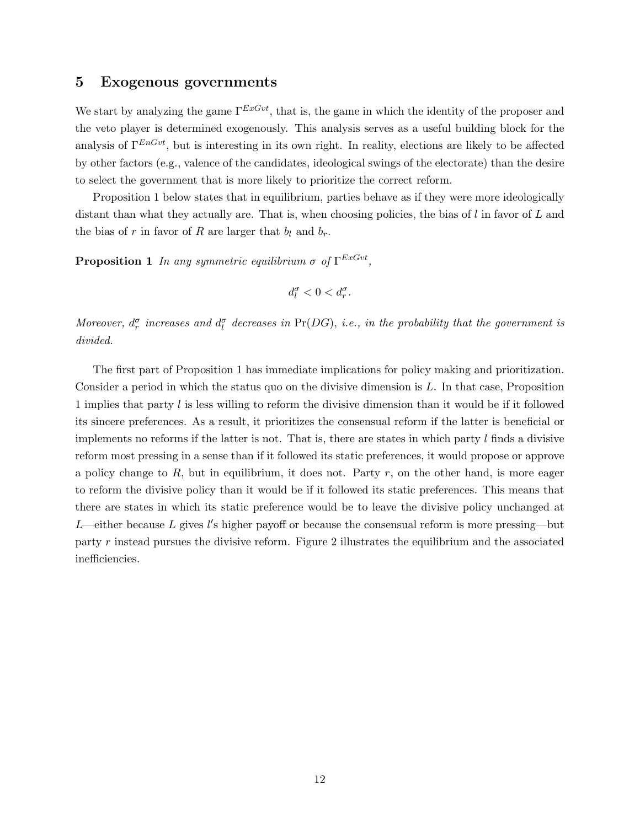### 5 Exogenous governments

We start by analyzing the game  $\Gamma^{ExGvt}$ , that is, the game in which the identity of the proposer and the veto player is determined exogenously. This analysis serves as a useful building block for the analysis of  $\Gamma^{EnGvt}$ , but is interesting in its own right. In reality, elections are likely to be affected by other factors (e.g., valence of the candidates, ideological swings of the electorate) than the desire to select the government that is more likely to prioritize the correct reform.

Proposition 1 below states that in equilibrium, parties behave as if they were more ideologically distant than what they actually are. That is, when choosing policies, the bias of  $l$  in favor of  $L$  and the bias of r in favor of R are larger that  $b_l$  and  $b_r$ .

**Proposition 1** In any symmetric equilibrium  $\sigma$  of  $\Gamma^{ExGvt}$ ,

$$
d_l^{\sigma}<0
$$

Moreover,  $d_r^{\sigma}$  increases and  $d_l^{\sigma}$  decreases in Pr(DG), i.e., in the probability that the government is divided.

The first part of Proposition 1 has immediate implications for policy making and prioritization. Consider a period in which the status quo on the divisive dimension is  $L$ . In that case, Proposition 1 implies that party l is less willing to reform the divisive dimension than it would be if it followed its sincere preferences. As a result, it prioritizes the consensual reform if the latter is beneficial or implements no reforms if the latter is not. That is, there are states in which party  $l$  finds a divisive reform most pressing in a sense than if it followed its static preferences, it would propose or approve a policy change to  $R$ , but in equilibrium, it does not. Party  $r$ , on the other hand, is more eager to reform the divisive policy than it would be if it followed its static preferences. This means that there are states in which its static preference would be to leave the divisive policy unchanged at L—either because L gives l's higher payoff or because the consensual reform is more pressing—but party r instead pursues the divisive reform. Figure 2 illustrates the equilibrium and the associated inefficiencies.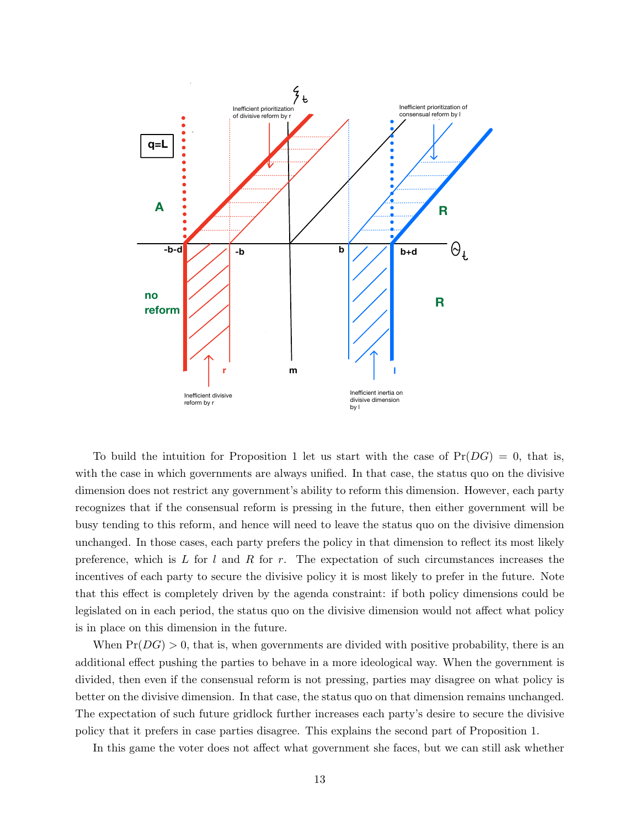

Inefficient divisive<br>reform by r<br>the intuition for F<br>in which governmes<br>s not restrict any  $\frac{1}{2}$ <br>if the consensua<br>o this reform, and<br>those cases, each ident inertia on<br>with the that case<br>orm this<br>e future,<br>the statu<br>that din To build the intuition for Proposition 1 let us start with the case of  $Pr(DG) = 0$ , that is, with the case in which governments are always unified. In that case, the status quo on the divisive dimension does not restrict any government's ability to reform this dimension. However, each party recognizes that if the consensual reform is pressing in the future, then either government will be busy tending to this reform, and hence will need to leave the status quo on the divisive dimension unchanged. In those cases, each party prefers the policy in that dimension to reflect its most likely preference, which is L for l and R for r. The expectation of such circumstances increases the incentives of each party to secure the divisive policy it is most likely to prefer in the future. Note that this effect is completely driven by the agenda constraint: if both policy dimensions could be legislated on in each period, the status quo on the divisive dimension would not affect what policy is in place on this dimension in the future.

When  $Pr(DG) > 0$ , that is, when governments are divided with positive probability, there is an additional effect pushing the parties to behave in a more ideological way. When the government is divided, then even if the consensual reform is not pressing, parties may disagree on what policy is better on the divisive dimension. In that case, the status quo on that dimension remains unchanged. The expectation of such future gridlock further increases each party's desire to secure the divisive policy that it prefers in case parties disagree. This explains the second part of Proposition 1.

In this game the voter does not affect what government she faces, but we can still ask whether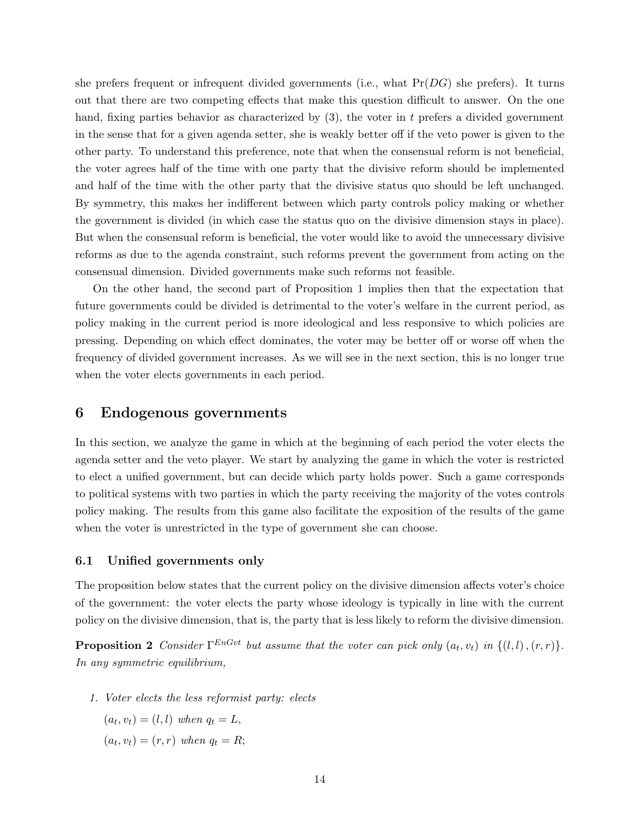she prefers frequent or infrequent divided governments (i.e., what  $Pr(DG)$  she prefers). It turns out that there are two competing effects that make this question difficult to answer. On the one hand, fixing parties behavior as characterized by  $(3)$ , the voter in t prefers a divided government in the sense that for a given agenda setter, she is weakly better off if the veto power is given to the other party. To understand this preference, note that when the consensual reform is not beneficial, the voter agrees half of the time with one party that the divisive reform should be implemented and half of the time with the other party that the divisive status quo should be left unchanged. By symmetry, this makes her indifferent between which party controls policy making or whether the government is divided (in which case the status quo on the divisive dimension stays in place). But when the consensual reform is beneficial, the voter would like to avoid the unnecessary divisive reforms as due to the agenda constraint, such reforms prevent the government from acting on the consensual dimension. Divided governments make such reforms not feasible.

On the other hand, the second part of Proposition 1 implies then that the expectation that future governments could be divided is detrimental to the voter's welfare in the current period, as policy making in the current period is more ideological and less responsive to which policies are pressing. Depending on which effect dominates, the voter may be better off or worse off when the frequency of divided government increases. As we will see in the next section, this is no longer true when the voter elects governments in each period.

## 6 Endogenous governments

In this section, we analyze the game in which at the beginning of each period the voter elects the agenda setter and the veto player. We start by analyzing the game in which the voter is restricted to elect a unified government, but can decide which party holds power. Such a game corresponds to political systems with two parties in which the party receiving the majority of the votes controls policy making. The results from this game also facilitate the exposition of the results of the game when the voter is unrestricted in the type of government she can choose.

#### 6.1 Unified governments only

The proposition below states that the current policy on the divisive dimension affects voter's choice of the government: the voter elects the party whose ideology is typically in line with the current policy on the divisive dimension, that is, the party that is less likely to reform the divisive dimension.

**Proposition 2** Consider  $\Gamma^{EnGvt}$  but assume that the voter can pick only  $(a_t, v_t)$  in  $\{(l, l), (r, r)\}.$ In any symmetric equilibrium,

1. Voter elects the less reformist party: elects

 $(a_t, v_t) = (l, l)$  when  $q_t = L$ ,  $(a_t, v_t) = (r, r)$  when  $q_t = R;$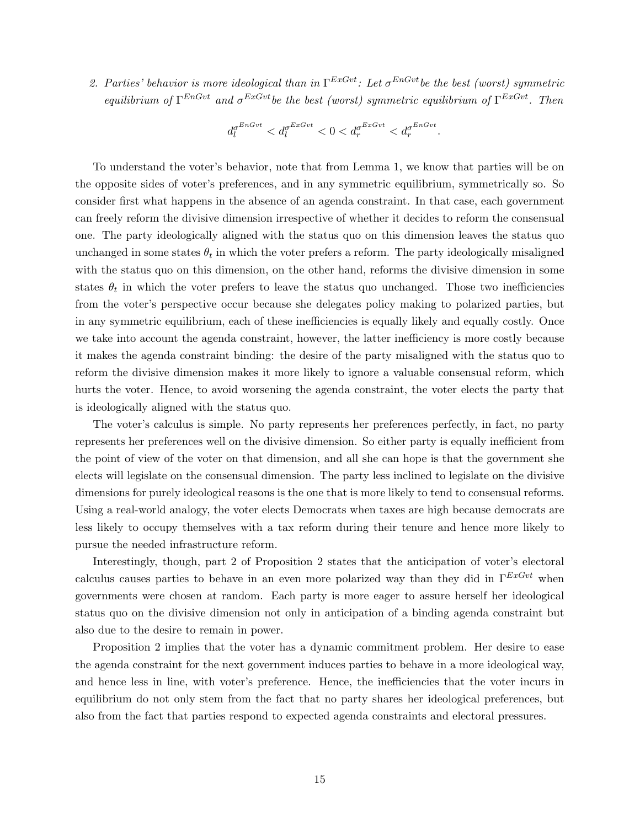2. Parties' behavior is more ideological than in  $\Gamma^{ExGvt}$ : Let  $\sigma^{EnGvt}$  be the best (worst) symmetric equilibrium of  $\Gamma^{EnGvt}$  and  $\sigma^{ExGvt}$  be the best (worst) symmetric equilibrium of  $\Gamma^{ExGvt}$ . Then

$$
d_l^{\sigma^{EnGvt}} < d_l^{\sigma^{ExGvt}} < 0 < d_r^{\sigma^{ExGvt}} < d_r^{\sigma^{EnGvt}}.
$$

To understand the voter's behavior, note that from Lemma 1, we know that parties will be on the opposite sides of voter's preferences, and in any symmetric equilibrium, symmetrically so. So consider first what happens in the absence of an agenda constraint. In that case, each government can freely reform the divisive dimension irrespective of whether it decides to reform the consensual one. The party ideologically aligned with the status quo on this dimension leaves the status quo unchanged in some states  $\theta_t$  in which the voter prefers a reform. The party ideologically misaligned with the status quo on this dimension, on the other hand, reforms the divisive dimension in some states  $\theta_t$  in which the voter prefers to leave the status quo unchanged. Those two inefficiencies from the voter's perspective occur because she delegates policy making to polarized parties, but in any symmetric equilibrium, each of these inefficiencies is equally likely and equally costly. Once we take into account the agenda constraint, however, the latter inefficiency is more costly because it makes the agenda constraint binding: the desire of the party misaligned with the status quo to reform the divisive dimension makes it more likely to ignore a valuable consensual reform, which hurts the voter. Hence, to avoid worsening the agenda constraint, the voter elects the party that is ideologically aligned with the status quo.

The voter's calculus is simple. No party represents her preferences perfectly, in fact, no party represents her preferences well on the divisive dimension. So either party is equally inefficient from the point of view of the voter on that dimension, and all she can hope is that the government she elects will legislate on the consensual dimension. The party less inclined to legislate on the divisive dimensions for purely ideological reasons is the one that is more likely to tend to consensual reforms. Using a real-world analogy, the voter elects Democrats when taxes are high because democrats are less likely to occupy themselves with a tax reform during their tenure and hence more likely to pursue the needed infrastructure reform.

Interestingly, though, part 2 of Proposition 2 states that the anticipation of voter's electoral calculus causes parties to behave in an even more polarized way than they did in  $\Gamma^{ExGvt}$  when governments were chosen at random. Each party is more eager to assure herself her ideological status quo on the divisive dimension not only in anticipation of a binding agenda constraint but also due to the desire to remain in power.

Proposition 2 implies that the voter has a dynamic commitment problem. Her desire to ease the agenda constraint for the next government induces parties to behave in a more ideological way, and hence less in line, with voter's preference. Hence, the inefficiencies that the voter incurs in equilibrium do not only stem from the fact that no party shares her ideological preferences, but also from the fact that parties respond to expected agenda constraints and electoral pressures.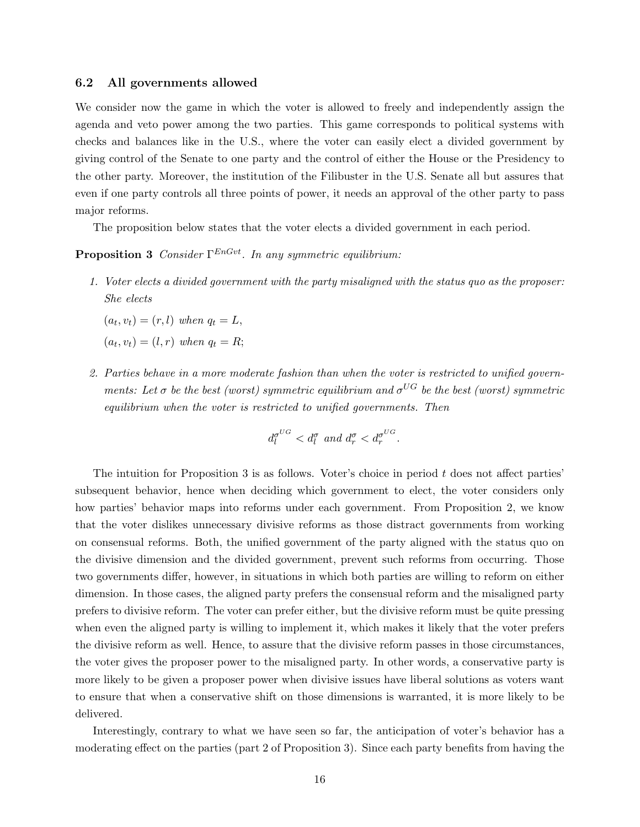#### 6.2 All governments allowed

We consider now the game in which the voter is allowed to freely and independently assign the agenda and veto power among the two parties. This game corresponds to political systems with checks and balances like in the U.S., where the voter can easily elect a divided government by giving control of the Senate to one party and the control of either the House or the Presidency to the other party. Moreover, the institution of the Filibuster in the U.S. Senate all but assures that even if one party controls all three points of power, it needs an approval of the other party to pass major reforms.

The proposition below states that the voter elects a divided government in each period.

## **Proposition 3** Consider  $\Gamma^{EnGvt}$ . In any symmetric equilibrium:

1. Voter elects a divided government with the party misaligned with the status quo as the proposer: She elects

 $(a_t, v_t) = (r, l)$  when  $q_t = L$ ,  $(a_t, v_t) = (l, r)$  when  $q_t = R;$ 

2. Parties behave in a more moderate fashion than when the voter is restricted to unified governments: Let  $\sigma$  be the best (worst) symmetric equilibrium and  $\sigma^{UG}$  be the best (worst) symmetric equilibrium when the voter is restricted to unified governments. Then

$$
d_l^{\sigma^{UG}} < d_l^{\sigma} \text{ and } d_r^{\sigma} < d_r^{\sigma^{UG}}.
$$

The intuition for Proposition 3 is as follows. Voter's choice in period t does not affect parties' subsequent behavior, hence when deciding which government to elect, the voter considers only how parties' behavior maps into reforms under each government. From Proposition 2, we know that the voter dislikes unnecessary divisive reforms as those distract governments from working on consensual reforms. Both, the unified government of the party aligned with the status quo on the divisive dimension and the divided government, prevent such reforms from occurring. Those two governments differ, however, in situations in which both parties are willing to reform on either dimension. In those cases, the aligned party prefers the consensual reform and the misaligned party prefers to divisive reform. The voter can prefer either, but the divisive reform must be quite pressing when even the aligned party is willing to implement it, which makes it likely that the voter prefers the divisive reform as well. Hence, to assure that the divisive reform passes in those circumstances, the voter gives the proposer power to the misaligned party. In other words, a conservative party is more likely to be given a proposer power when divisive issues have liberal solutions as voters want to ensure that when a conservative shift on those dimensions is warranted, it is more likely to be delivered.

Interestingly, contrary to what we have seen so far, the anticipation of voter's behavior has a moderating effect on the parties (part 2 of Proposition 3). Since each party benefits from having the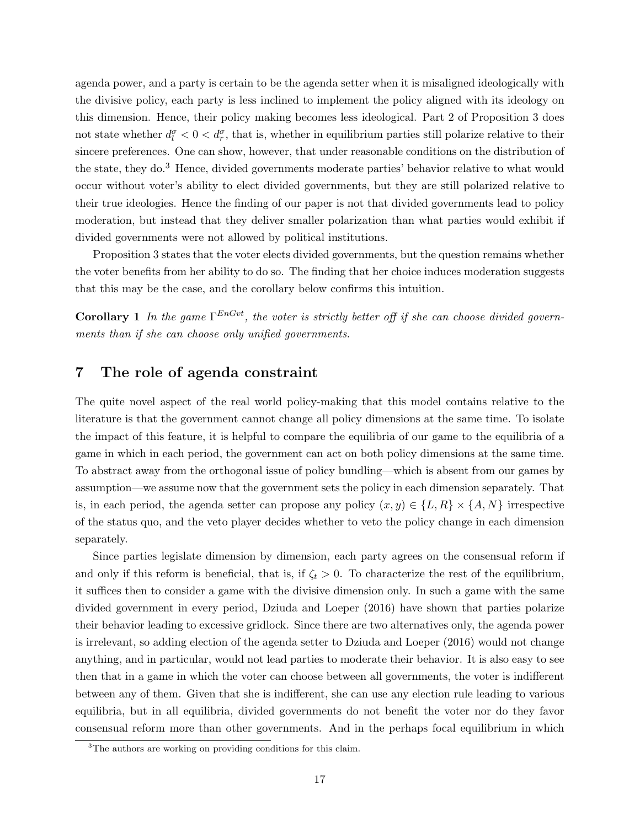agenda power, and a party is certain to be the agenda setter when it is misaligned ideologically with the divisive policy, each party is less inclined to implement the policy aligned with its ideology on this dimension. Hence, their policy making becomes less ideological. Part 2 of Proposition 3 does not state whether  $d_l^{\sigma} < 0 < d_r^{\sigma}$ , that is, whether in equilibrium parties still polarize relative to their sincere preferences. One can show, however, that under reasonable conditions on the distribution of the state, they do.<sup>3</sup> Hence, divided governments moderate parties' behavior relative to what would occur without voter's ability to elect divided governments, but they are still polarized relative to their true ideologies. Hence the finding of our paper is not that divided governments lead to policy moderation, but instead that they deliver smaller polarization than what parties would exhibit if divided governments were not allowed by political institutions.

Proposition 3 states that the voter elects divided governments, but the question remains whether the voter benefits from her ability to do so. The finding that her choice induces moderation suggests that this may be the case, and the corollary below confirms this intuition.

**Corollary 1** In the game  $\Gamma^{EnGvt}$ , the voter is strictly better off if she can choose divided governments than if she can choose only unified governments.

## 7 The role of agenda constraint

The quite novel aspect of the real world policy-making that this model contains relative to the literature is that the government cannot change all policy dimensions at the same time. To isolate the impact of this feature, it is helpful to compare the equilibria of our game to the equilibria of a game in which in each period, the government can act on both policy dimensions at the same time. To abstract away from the orthogonal issue of policy bundling—which is absent from our games by assumption—we assume now that the government sets the policy in each dimension separately. That is, in each period, the agenda setter can propose any policy  $(x, y) \in \{L, R\} \times \{A, N\}$  irrespective of the status quo, and the veto player decides whether to veto the policy change in each dimension separately.

Since parties legislate dimension by dimension, each party agrees on the consensual reform if and only if this reform is beneficial, that is, if  $\zeta_t > 0$ . To characterize the rest of the equilibrium, it suffices then to consider a game with the divisive dimension only. In such a game with the same divided government in every period, Dziuda and Loeper (2016) have shown that parties polarize their behavior leading to excessive gridlock. Since there are two alternatives only, the agenda power is irrelevant, so adding election of the agenda setter to Dziuda and Loeper (2016) would not change anything, and in particular, would not lead parties to moderate their behavior. It is also easy to see then that in a game in which the voter can choose between all governments, the voter is indifferent between any of them. Given that she is indifferent, she can use any election rule leading to various equilibria, but in all equilibria, divided governments do not benefit the voter nor do they favor consensual reform more than other governments. And in the perhaps focal equilibrium in which

<sup>&</sup>lt;sup>3</sup>The authors are working on providing conditions for this claim.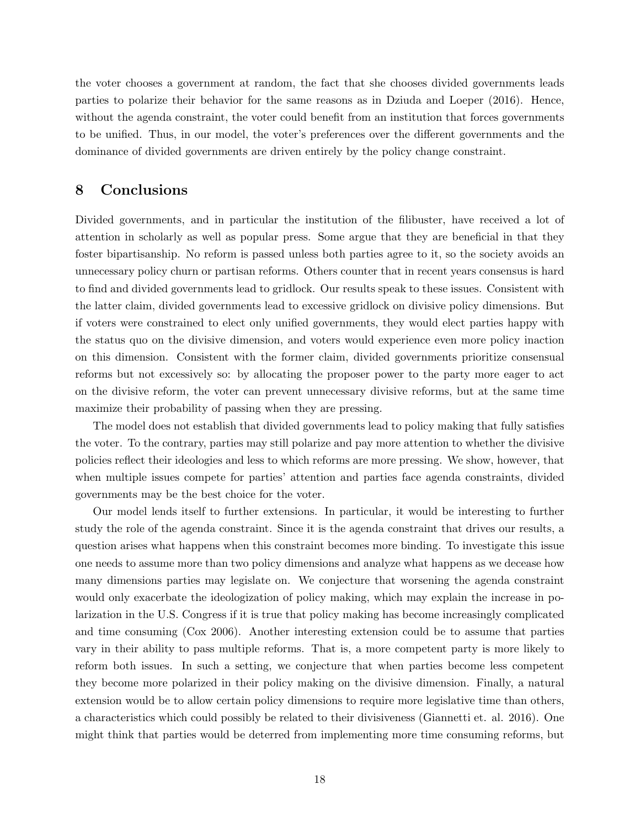the voter chooses a government at random, the fact that she chooses divided governments leads parties to polarize their behavior for the same reasons as in Dziuda and Loeper (2016). Hence, without the agenda constraint, the voter could benefit from an institution that forces governments to be unified. Thus, in our model, the voter's preferences over the different governments and the dominance of divided governments are driven entirely by the policy change constraint.

# 8 Conclusions

Divided governments, and in particular the institution of the filibuster, have received a lot of attention in scholarly as well as popular press. Some argue that they are beneficial in that they foster bipartisanship. No reform is passed unless both parties agree to it, so the society avoids an unnecessary policy churn or partisan reforms. Others counter that in recent years consensus is hard to find and divided governments lead to gridlock. Our results speak to these issues. Consistent with the latter claim, divided governments lead to excessive gridlock on divisive policy dimensions. But if voters were constrained to elect only unified governments, they would elect parties happy with the status quo on the divisive dimension, and voters would experience even more policy inaction on this dimension. Consistent with the former claim, divided governments prioritize consensual reforms but not excessively so: by allocating the proposer power to the party more eager to act on the divisive reform, the voter can prevent unnecessary divisive reforms, but at the same time maximize their probability of passing when they are pressing.

The model does not establish that divided governments lead to policy making that fully satisfies the voter. To the contrary, parties may still polarize and pay more attention to whether the divisive policies reflect their ideologies and less to which reforms are more pressing. We show, however, that when multiple issues compete for parties' attention and parties face agenda constraints, divided governments may be the best choice for the voter.

Our model lends itself to further extensions. In particular, it would be interesting to further study the role of the agenda constraint. Since it is the agenda constraint that drives our results, a question arises what happens when this constraint becomes more binding. To investigate this issue one needs to assume more than two policy dimensions and analyze what happens as we decease how many dimensions parties may legislate on. We conjecture that worsening the agenda constraint would only exacerbate the ideologization of policy making, which may explain the increase in polarization in the U.S. Congress if it is true that policy making has become increasingly complicated and time consuming (Cox 2006). Another interesting extension could be to assume that parties vary in their ability to pass multiple reforms. That is, a more competent party is more likely to reform both issues. In such a setting, we conjecture that when parties become less competent they become more polarized in their policy making on the divisive dimension. Finally, a natural extension would be to allow certain policy dimensions to require more legislative time than others, a characteristics which could possibly be related to their divisiveness (Giannetti et. al. 2016). One might think that parties would be deterred from implementing more time consuming reforms, but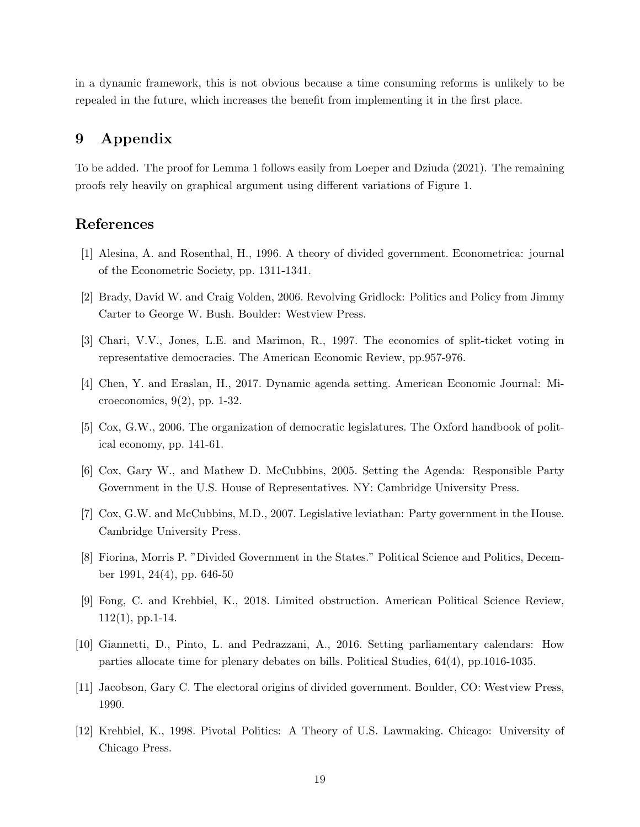in a dynamic framework, this is not obvious because a time consuming reforms is unlikely to be repealed in the future, which increases the benefit from implementing it in the first place.

# 9 Appendix

To be added. The proof for Lemma 1 follows easily from Loeper and Dziuda (2021). The remaining proofs rely heavily on graphical argument using different variations of Figure 1.

## References

- [1] Alesina, A. and Rosenthal, H., 1996. A theory of divided government. Econometrica: journal of the Econometric Society, pp. 1311-1341.
- [2] Brady, David W. and Craig Volden, 2006. Revolving Gridlock: Politics and Policy from Jimmy Carter to George W. Bush. Boulder: Westview Press.
- [3] Chari, V.V., Jones, L.E. and Marimon, R., 1997. The economics of split-ticket voting in representative democracies. The American Economic Review, pp.957-976.
- [4] Chen, Y. and Eraslan, H., 2017. Dynamic agenda setting. American Economic Journal: Microeconomics, 9(2), pp. 1-32.
- [5] Cox, G.W., 2006. The organization of democratic legislatures. The Oxford handbook of political economy, pp. 141-61.
- [6] Cox, Gary W., and Mathew D. McCubbins, 2005. Setting the Agenda: Responsible Party Government in the U.S. House of Representatives. NY: Cambridge University Press.
- [7] Cox, G.W. and McCubbins, M.D., 2007. Legislative leviathan: Party government in the House. Cambridge University Press.
- [8] Fiorina, Morris P. "Divided Government in the States." Political Science and Politics, December 1991, 24(4), pp. 646-50
- [9] Fong, C. and Krehbiel, K., 2018. Limited obstruction. American Political Science Review,  $112(1)$ , pp. 1-14.
- [10] Giannetti, D., Pinto, L. and Pedrazzani, A., 2016. Setting parliamentary calendars: How parties allocate time for plenary debates on bills. Political Studies, 64(4), pp.1016-1035.
- [11] Jacobson, Gary C. The electoral origins of divided government. Boulder, CO: Westview Press, 1990.
- [12] Krehbiel, K., 1998. Pivotal Politics: A Theory of U.S. Lawmaking. Chicago: University of Chicago Press.